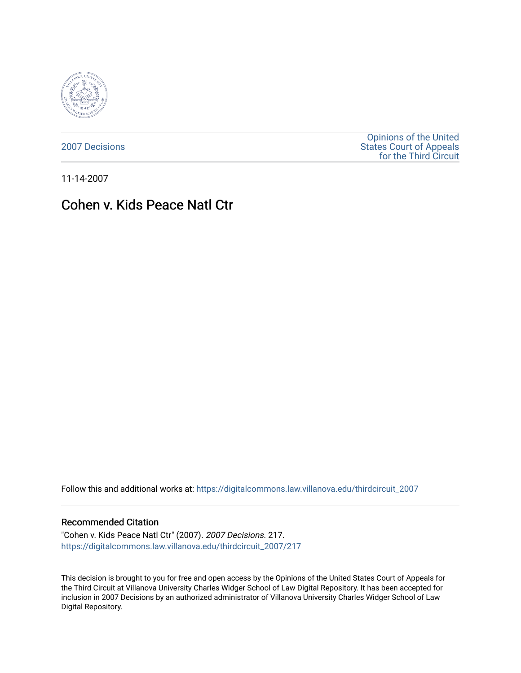

[2007 Decisions](https://digitalcommons.law.villanova.edu/thirdcircuit_2007)

[Opinions of the United](https://digitalcommons.law.villanova.edu/thirdcircuit)  [States Court of Appeals](https://digitalcommons.law.villanova.edu/thirdcircuit)  [for the Third Circuit](https://digitalcommons.law.villanova.edu/thirdcircuit) 

11-14-2007

# Cohen v. Kids Peace Natl Ctr

Follow this and additional works at: [https://digitalcommons.law.villanova.edu/thirdcircuit\\_2007](https://digitalcommons.law.villanova.edu/thirdcircuit_2007?utm_source=digitalcommons.law.villanova.edu%2Fthirdcircuit_2007%2F217&utm_medium=PDF&utm_campaign=PDFCoverPages) 

## Recommended Citation

"Cohen v. Kids Peace Natl Ctr" (2007). 2007 Decisions. 217. [https://digitalcommons.law.villanova.edu/thirdcircuit\\_2007/217](https://digitalcommons.law.villanova.edu/thirdcircuit_2007/217?utm_source=digitalcommons.law.villanova.edu%2Fthirdcircuit_2007%2F217&utm_medium=PDF&utm_campaign=PDFCoverPages)

This decision is brought to you for free and open access by the Opinions of the United States Court of Appeals for the Third Circuit at Villanova University Charles Widger School of Law Digital Repository. It has been accepted for inclusion in 2007 Decisions by an authorized administrator of Villanova University Charles Widger School of Law Digital Repository.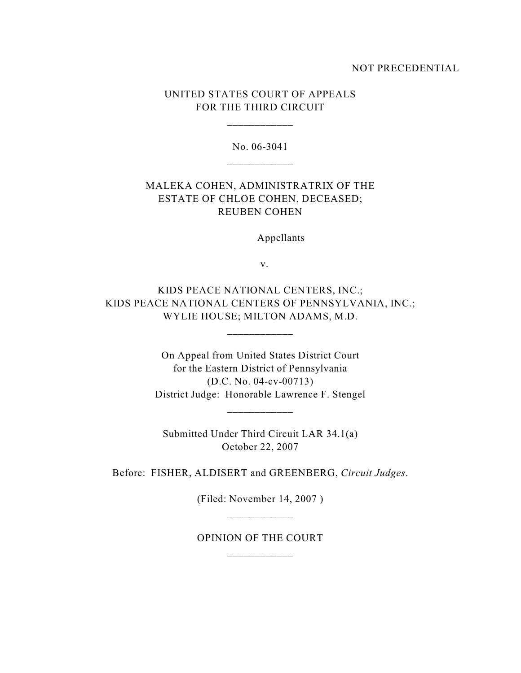## NOT PRECEDENTIAL

## UNITED STATES COURT OF APPEALS FOR THE THIRD CIRCUIT

\_\_\_\_\_\_\_\_\_\_\_\_

No. 06-3041

## MALEKA COHEN, ADMINISTRATRIX OF THE ESTATE OF CHLOE COHEN, DECEASED; REUBEN COHEN

Appellants

v.

KIDS PEACE NATIONAL CENTERS, INC.; KIDS PEACE NATIONAL CENTERS OF PENNSYLVANIA, INC.; WYLIE HOUSE; MILTON ADAMS, M.D.

\_\_\_\_\_\_\_\_\_\_\_\_

On Appeal from United States District Court for the Eastern District of Pennsylvania (D.C. No. 04-cv-00713) District Judge: Honorable Lawrence F. Stengel

\_\_\_\_\_\_\_\_\_\_\_\_

Submitted Under Third Circuit LAR 34.1(a) October 22, 2007

Before: FISHER, ALDISERT and GREENBERG, *Circuit Judges*.

(Filed: November 14, 2007 )

OPINION OF THE COURT \_\_\_\_\_\_\_\_\_\_\_\_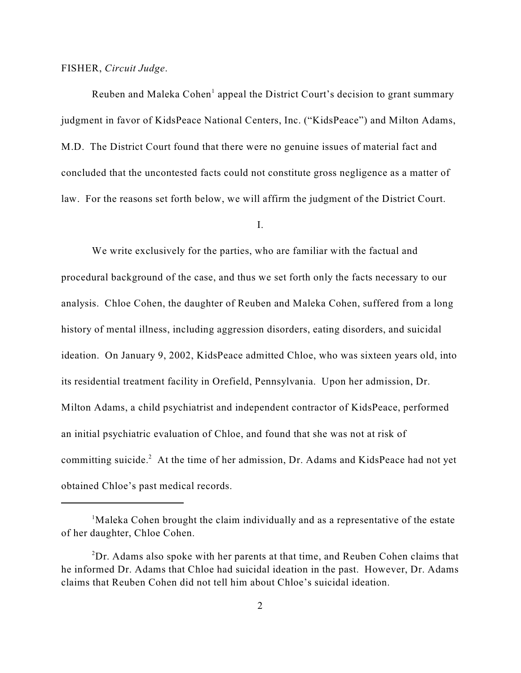## FISHER, *Circuit Judge*.

Reuben and Maleka Cohen<sup>1</sup> appeal the District Court's decision to grant summary judgment in favor of KidsPeace National Centers, Inc. ("KidsPeace") and Milton Adams, M.D. The District Court found that there were no genuine issues of material fact and concluded that the uncontested facts could not constitute gross negligence as a matter of law. For the reasons set forth below, we will affirm the judgment of the District Court.

I.

We write exclusively for the parties, who are familiar with the factual and procedural background of the case, and thus we set forth only the facts necessary to our analysis. Chloe Cohen, the daughter of Reuben and Maleka Cohen, suffered from a long history of mental illness, including aggression disorders, eating disorders, and suicidal ideation. On January 9, 2002, KidsPeace admitted Chloe, who was sixteen years old, into its residential treatment facility in Orefield, Pennsylvania. Upon her admission, Dr. Milton Adams, a child psychiatrist and independent contractor of KidsPeace, performed an initial psychiatric evaluation of Chloe, and found that she was not at risk of committing suicide.<sup>2</sup> At the time of her admission, Dr. Adams and KidsPeace had not yet obtained Chloe's past medical records.

 $\mu$ <sup>1</sup>Maleka Cohen brought the claim individually and as a representative of the estate of her daughter, Chloe Cohen.

 ${}^{2}Dr$ . Adams also spoke with her parents at that time, and Reuben Cohen claims that he informed Dr. Adams that Chloe had suicidal ideation in the past. However, Dr. Adams claims that Reuben Cohen did not tell him about Chloe's suicidal ideation.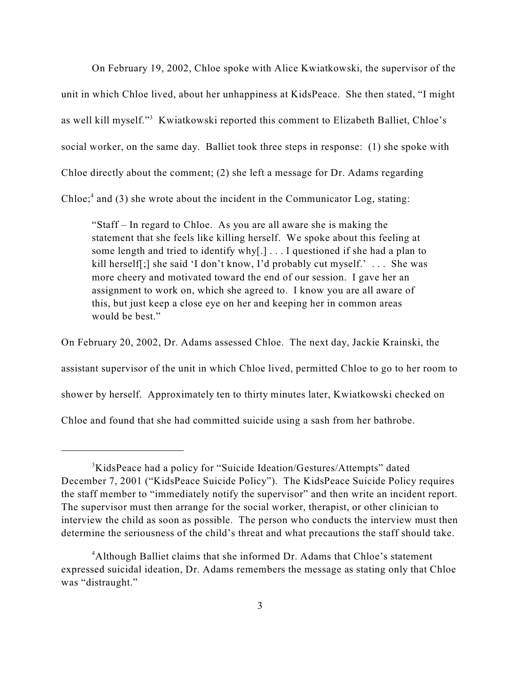On February 19, 2002, Chloe spoke with Alice Kwiatkowski, the supervisor of the unit in which Chloe lived, about her unhappiness at KidsPeace. She then stated, "I might as well kill myself."<sup>3</sup> Kwiatkowski reported this comment to Elizabeth Balliet, Chloe's social worker, on the same day. Balliet took three steps in response: (1) she spoke with Chloe directly about the comment; (2) she left a message for Dr. Adams regarding Chloe; $4$  and (3) she wrote about the incident in the Communicator Log, stating:

"Staff – In regard to Chloe. As you are all aware she is making the statement that she feels like killing herself. We spoke about this feeling at some length and tried to identify why[.] . . . I questioned if she had a plan to kill herself[;] she said 'I don't know, I'd probably cut myself.' . . . She was more cheery and motivated toward the end of our session. I gave her an assignment to work on, which she agreed to. I know you are all aware of this, but just keep a close eye on her and keeping her in common areas would be best."

On February 20, 2002, Dr. Adams assessed Chloe. The next day, Jackie Krainski, the assistant supervisor of the unit in which Chloe lived, permitted Chloe to go to her room to shower by herself. Approximately ten to thirty minutes later, Kwiatkowski checked on Chloe and found that she had committed suicide using a sash from her bathrobe.

<sup>&</sup>lt;sup>3</sup>KidsPeace had a policy for "Suicide Ideation/Gestures/Attempts" dated December 7, 2001 ("KidsPeace Suicide Policy"). The KidsPeace Suicide Policy requires the staff member to "immediately notify the supervisor" and then write an incident report. The supervisor must then arrange for the social worker, therapist, or other clinician to interview the child as soon as possible. The person who conducts the interview must then determine the seriousness of the child's threat and what precautions the staff should take.

<sup>&</sup>lt;sup>4</sup>Although Balliet claims that she informed Dr. Adams that Chloe's statement expressed suicidal ideation, Dr. Adams remembers the message as stating only that Chloe was "distraught."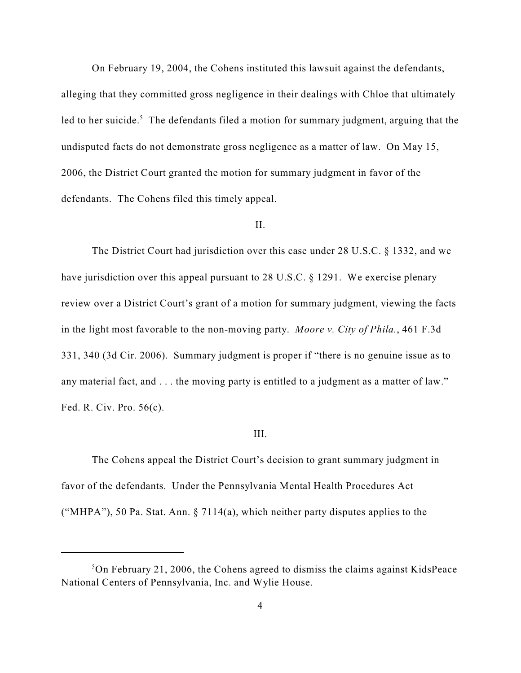On February 19, 2004, the Cohens instituted this lawsuit against the defendants, alleging that they committed gross negligence in their dealings with Chloe that ultimately led to her suicide.<sup>5</sup> The defendants filed a motion for summary judgment, arguing that the undisputed facts do not demonstrate gross negligence as a matter of law. On May 15, 2006, the District Court granted the motion for summary judgment in favor of the defendants. The Cohens filed this timely appeal.

## II.

The District Court had jurisdiction over this case under 28 U.S.C. § 1332, and we have jurisdiction over this appeal pursuant to 28 U.S.C. § 1291. We exercise plenary review over a District Court's grant of a motion for summary judgment, viewing the facts in the light most favorable to the non-moving party. *Moore v. City of Phila.*, 461 F.3d 331, 340 (3d Cir. 2006). Summary judgment is proper if "there is no genuine issue as to any material fact, and . . . the moving party is entitled to a judgment as a matter of law." Fed. R. Civ. Pro. 56(c).

#### III.

The Cohens appeal the District Court's decision to grant summary judgment in favor of the defendants. Under the Pennsylvania Mental Health Procedures Act ("MHPA"), 50 Pa. Stat. Ann.  $\S 7114(a)$ , which neither party disputes applies to the

<sup>&</sup>lt;sup>5</sup>On February 21, 2006, the Cohens agreed to dismiss the claims against KidsPeace National Centers of Pennsylvania, Inc. and Wylie House.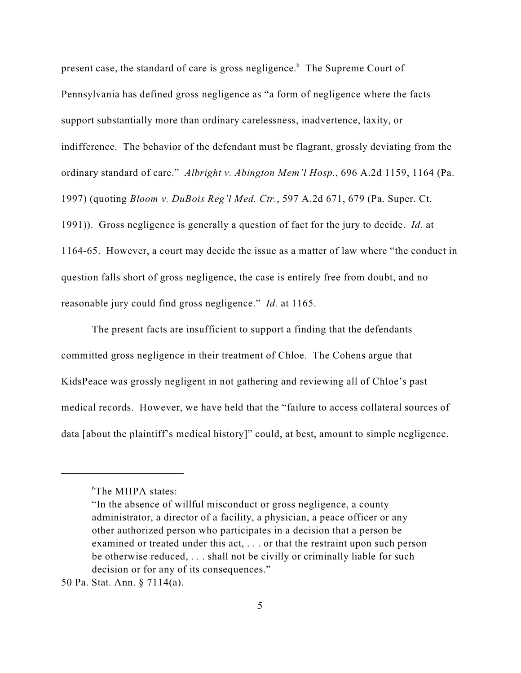present case, the standard of care is gross negligence.<sup>6</sup> The Supreme Court of Pennsylvania has defined gross negligence as "a form of negligence where the facts support substantially more than ordinary carelessness, inadvertence, laxity, or indifference. The behavior of the defendant must be flagrant, grossly deviating from the ordinary standard of care." *Albright v. Abington Mem'l Hosp.*, 696 A.2d 1159, 1164 (Pa. 1997) (quoting *Bloom v. DuBois Reg'l Med. Ctr.*, 597 A.2d 671, 679 (Pa. Super. Ct. 1991)). Gross negligence is generally a question of fact for the jury to decide. *Id.* at 1164-65. However, a court may decide the issue as a matter of law where "the conduct in question falls short of gross negligence, the case is entirely free from doubt, and no reasonable jury could find gross negligence." *Id.* at 1165.

The present facts are insufficient to support a finding that the defendants committed gross negligence in their treatment of Chloe. The Cohens argue that KidsPeace was grossly negligent in not gathering and reviewing all of Chloe's past medical records. However, we have held that the "failure to access collateral sources of data [about the plaintiff's medical history]" could, at best, amount to simple negligence.

<sup>&</sup>lt;sup>6</sup>The MHPA states:

<sup>&</sup>quot;In the absence of willful misconduct or gross negligence, a county administrator, a director of a facility, a physician, a peace officer or any other authorized person who participates in a decision that a person be examined or treated under this act, . . . or that the restraint upon such person be otherwise reduced, . . . shall not be civilly or criminally liable for such decision or for any of its consequences."

<sup>50</sup> Pa. Stat. Ann. § 7114(a).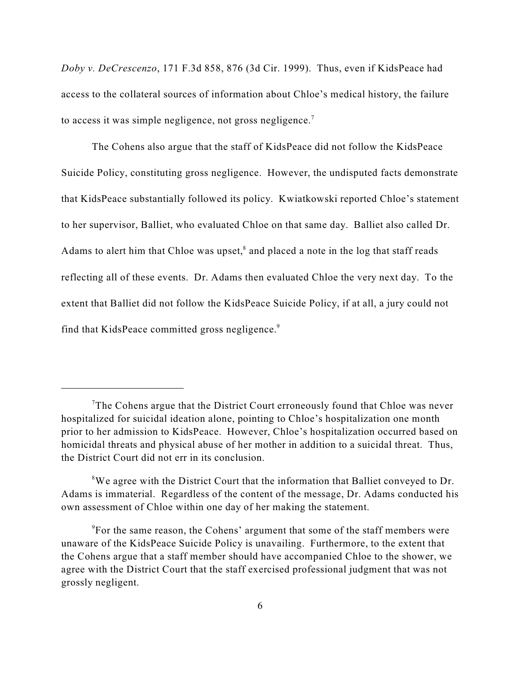*Doby v. DeCrescenzo*, 171 F.3d 858, 876 (3d Cir. 1999). Thus, even if KidsPeace had access to the collateral sources of information about Chloe's medical history, the failure to access it was simple negligence, not gross negligence.<sup>7</sup>

The Cohens also argue that the staff of KidsPeace did not follow the KidsPeace Suicide Policy, constituting gross negligence. However, the undisputed facts demonstrate that KidsPeace substantially followed its policy. Kwiatkowski reported Chloe's statement to her supervisor, Balliet, who evaluated Chloe on that same day. Balliet also called Dr. Adams to alert him that Chloe was upset, $\delta$  and placed a note in the log that staff reads reflecting all of these events. Dr. Adams then evaluated Chloe the very next day. To the extent that Balliet did not follow the KidsPeace Suicide Policy, if at all, a jury could not find that KidsPeace committed gross negligence.<sup>9</sup>

The Cohens argue that the District Court erroneously found that Chloe was never hospitalized for suicidal ideation alone, pointing to Chloe's hospitalization one month prior to her admission to KidsPeace. However, Chloe's hospitalization occurred based on homicidal threats and physical abuse of her mother in addition to a suicidal threat. Thus, the District Court did not err in its conclusion.

 ${}^8$ We agree with the District Court that the information that Balliet conveyed to Dr. Adams is immaterial. Regardless of the content of the message, Dr. Adams conducted his own assessment of Chloe within one day of her making the statement.

 $\rm$ <sup>9</sup>For the same reason, the Cohens' argument that some of the staff members were unaware of the KidsPeace Suicide Policy is unavailing. Furthermore, to the extent that the Cohens argue that a staff member should have accompanied Chloe to the shower, we agree with the District Court that the staff exercised professional judgment that was not grossly negligent.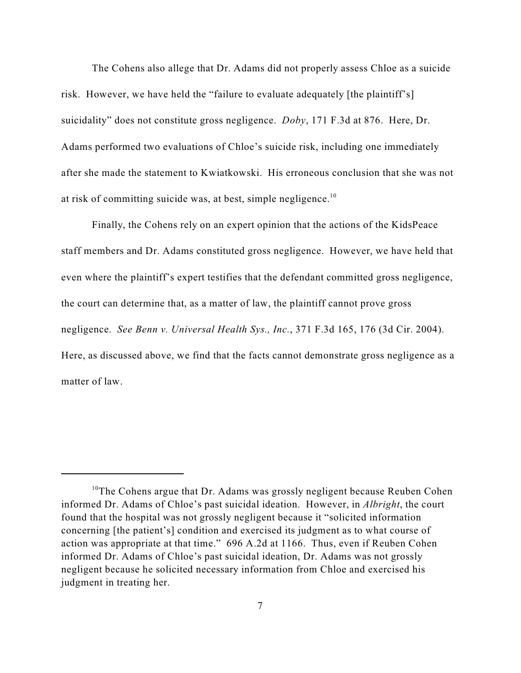The Cohens also allege that Dr. Adams did not properly assess Chloe as a suicide risk. However, we have held the "failure to evaluate adequately [the plaintiff's] suicidality" does not constitute gross negligence. *Doby*, 171 F.3d at 876. Here, Dr. Adams performed two evaluations of Chloe's suicide risk, including one immediately after she made the statement to Kwiatkowski. His erroneous conclusion that she was not at risk of committing suicide was, at best, simple negligence.<sup>10</sup>

Finally, the Cohens rely on an expert opinion that the actions of the KidsPeace staff members and Dr. Adams constituted gross negligence. However, we have held that even where the plaintiff's expert testifies that the defendant committed gross negligence, the court can determine that, as a matter of law, the plaintiff cannot prove gross negligence. *See Benn v. Universal Health Sys., Inc.*, 371 F.3d 165, 176 (3d Cir. 2004). Here, as discussed above, we find that the facts cannot demonstrate gross negligence as a matter of law.

 $10$ <sup>10</sup>The Cohens argue that Dr. Adams was grossly negligent because Reuben Cohen informed Dr. Adams of Chloe's past suicidal ideation. However, in *Albright*, the court found that the hospital was not grossly negligent because it "solicited information concerning [the patient's] condition and exercised its judgment as to what course of action was appropriate at that time." 696 A.2d at 1166. Thus, even if Reuben Cohen informed Dr. Adams of Chloe's past suicidal ideation, Dr. Adams was not grossly negligent because he solicited necessary information from Chloe and exercised his judgment in treating her.